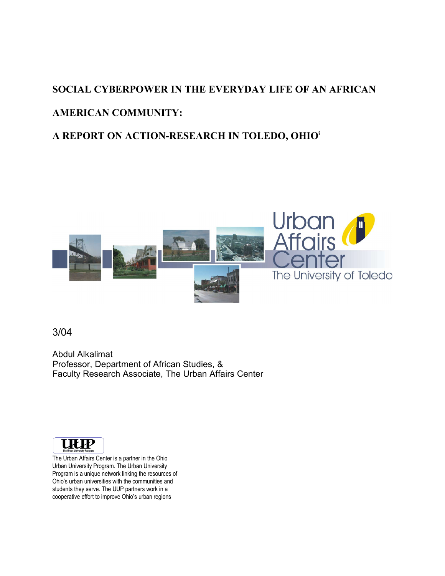# **SOCIAL CYBERPOWER IN THE EVERYDAY LIFE OF AN AFRICAN**

## **AMERICAN COMMUNITY:**

# **A REPORT ON ACTION-RESEARCH IN TOLEDO, OHIO<sup>i</sup>**



3/04

Abdul Alkalimat Professor, Department of African Studies, & Faculty Research Associate, The Urban Affairs Center



The Urban Affairs Center is a partner in the Ohio Urban University Program. The Urban University Program is a unique network linking the resources of Ohio's urban universities with the communities and students they serve. The UUP partners work in a cooperative effort to improve Ohio's urban regions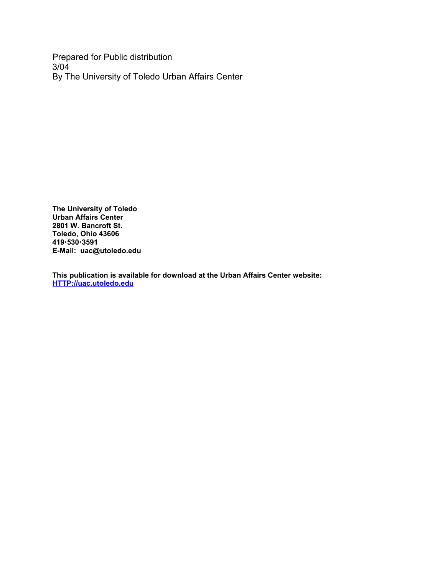Prepared for Public distribution 3/04 By The University of Toledo Urban Affairs Center

**The University of Toledo Urban Affairs Center 2801 W. Bancroft St. Toledo, Ohio 43606 4195303591 E-Mail: uac@utoledo.edu**

**This publication is available for download at the Urban Affairs Center website: HTTP://uac.utoledo.edu**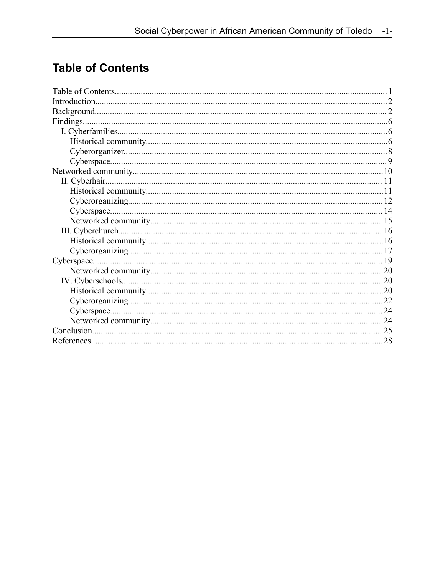# **Table of Contents**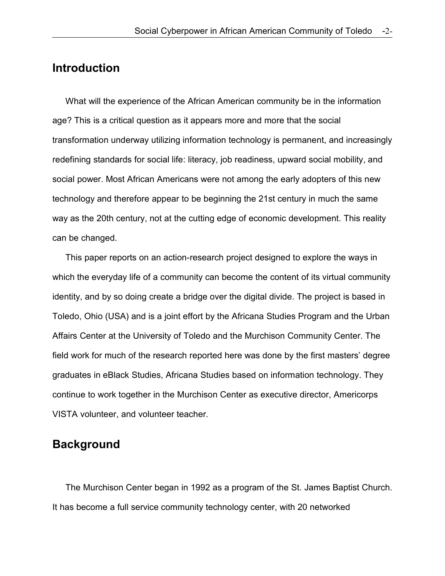# **Introduction**

What will the experience of the African American community be in the information age? This is a critical question as it appears more and more that the social transformation underway utilizing information technology is permanent, and increasingly redefining standards for social life: literacy, job readiness, upward social mobility, and social power. Most African Americans were not among the early adopters of this new technology and therefore appear to be beginning the 21st century in much the same way as the 20th century, not at the cutting edge of economic development. This reality can be changed.

This paper reports on an action-research project designed to explore the ways in which the everyday life of a community can become the content of its virtual community identity, and by so doing create a bridge over the digital divide. The project is based in Toledo, Ohio (USA) and is a joint effort by the Africana Studies Program and the Urban Affairs Center at the University of Toledo and the Murchison Community Center. The field work for much of the research reported here was done by the first masters' degree graduates in eBlack Studies, Africana Studies based on information technology. They continue to work together in the Murchison Center as executive director, Americorps VISTA volunteer, and volunteer teacher.

# **Background**

The Murchison Center began in 1992 as a program of the St. James Baptist Church. It has become a full service community technology center, with 20 networked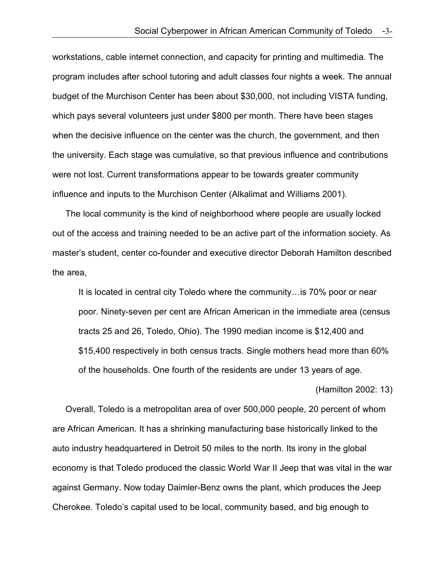workstations, cable internet connection, and capacity for printing and multimedia. The program includes after school tutoring and adult classes four nights a week. The annual budget of the Murchison Center has been about \$30,000, not including VISTA funding, which pays several volunteers just under \$800 per month. There have been stages when the decisive influence on the center was the church, the government, and then the university. Each stage was cumulative, so that previous influence and contributions were not lost. Current transformations appear to be towards greater community influence and inputs to the Murchison Center (Alkalimat and Williams 2001).

The local community is the kind of neighborhood where people are usually locked out of the access and training needed to be an active part of the information society. As master's student, center co-founder and executive director Deborah Hamilton described the area,

It is located in central city Toledo where the community…is 70% poor or near poor. Ninety-seven per cent are African American in the immediate area (census tracts 25 and 26, Toledo, Ohio). The 1990 median income is \$12,400 and \$15,400 respectively in both census tracts. Single mothers head more than 60% of the households. One fourth of the residents are under 13 years of age.

(Hamilton 2002: 13)

Overall, Toledo is a metropolitan area of over 500,000 people, 20 percent of whom are African American. It has a shrinking manufacturing base historically linked to the auto industry headquartered in Detroit 50 miles to the north. Its irony in the global economy is that Toledo produced the classic World War II Jeep that was vital in the war against Germany. Now today Daimler-Benz owns the plant, which produces the Jeep Cherokee. Toledo's capital used to be local, community based, and big enough to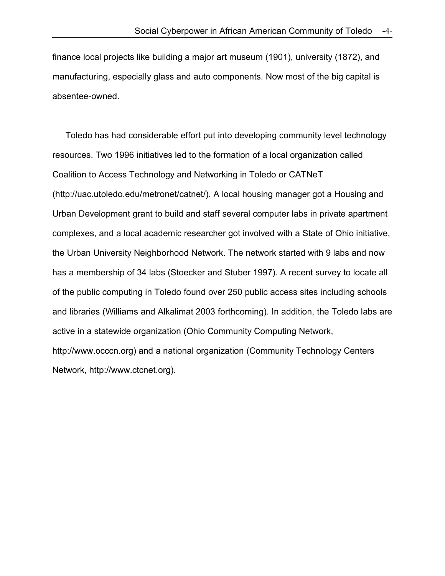finance local projects like building a major art museum (1901), university (1872), and manufacturing, especially glass and auto components. Now most of the big capital is absentee-owned.

Toledo has had considerable effort put into developing community level technology resources. Two 1996 initiatives led to the formation of a local organization called Coalition to Access Technology and Networking in Toledo or CATNeT (http://uac.utoledo.edu/metronet/catnet/). A local housing manager got a Housing and Urban Development grant to build and staff several computer labs in private apartment complexes, and a local academic researcher got involved with a State of Ohio initiative, the Urban University Neighborhood Network. The network started with 9 labs and now has a membership of 34 labs (Stoecker and Stuber 1997). A recent survey to locate all of the public computing in Toledo found over 250 public access sites including schools and libraries (Williams and Alkalimat 2003 forthcoming). In addition, the Toledo labs are active in a statewide organization (Ohio Community Computing Network, http://www.occcn.org) and a national organization (Community Technology Centers Network, http://www.ctcnet.org).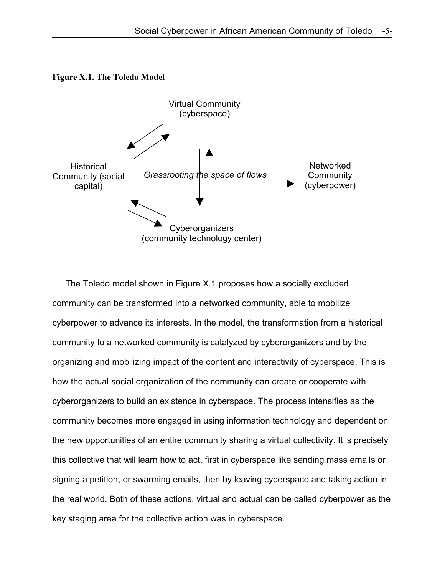**Figure X.1. The Toledo Model**



The Toledo model shown in Figure X.1 proposes how a socially excluded community can be transformed into a networked community, able to mobilize cyberpower to advance its interests. In the model, the transformation from a historical community to a networked community is catalyzed by cyberorganizers and by the organizing and mobilizing impact of the content and interactivity of cyberspace. This is how the actual social organization of the community can create or cooperate with cyberorganizers to build an existence in cyberspace. The process intensifies as the community becomes more engaged in using information technology and dependent on the new opportunities of an entire community sharing a virtual collectivity. It is precisely this collective that will learn how to act, first in cyberspace like sending mass emails or signing a petition, or swarming emails, then by leaving cyberspace and taking action in the real world. Both of these actions, virtual and actual can be called cyberpower as the key staging area for the collective action was in cyberspace.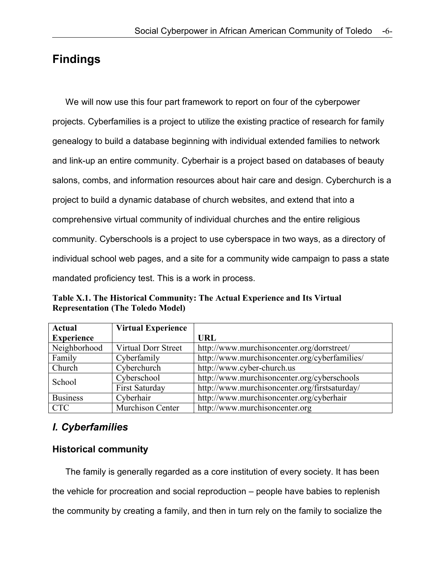# **Findings**

We will now use this four part framework to report on four of the cyberpower projects. Cyberfamilies is a project to utilize the existing practice of research for family genealogy to build a database beginning with individual extended families to network and link-up an entire community. Cyberhair is a project based on databases of beauty salons, combs, and information resources about hair care and design. Cyberchurch is a project to build a dynamic database of church websites, and extend that into a comprehensive virtual community of individual churches and the entire religious community. Cyberschools is a project to use cyberspace in two ways, as a directory of individual school web pages, and a site for a community wide campaign to pass a state mandated proficiency test. This is a work in process.

**Table X.1. The Historical Community: The Actual Experience and Its Virtual Representation (The Toledo Model)**

| <b>Actual</b>     | <b>Virtual Experience</b>  |                                               |
|-------------------|----------------------------|-----------------------------------------------|
| <b>Experience</b> |                            | <b>URL</b>                                    |
| Neighborhood      | <b>Virtual Dorr Street</b> | http://www.murchisoncenter.org/dorrstreet/    |
| Family            | Cyberfamily                | http://www.murchisoncenter.org/cyberfamilies/ |
| Church            | Cyberchurch                | http://www.cyber-church.us                    |
| School            | Cyberschool                | http://www.murchisoncenter.org/cyberschools   |
|                   | First Saturday             | http://www.murchisoncenter.org/firstsaturday/ |
| <b>Business</b>   | Cyberhair                  | http://www.murchisoncenter.org/cyberhair      |
| <b>CTC</b>        | Murchison Center           | http://www.murchisoncenter.org                |

# *I. Cyberfamilies*

### **Historical community**

The family is generally regarded as a core institution of every society. It has been the vehicle for procreation and social reproduction – people have babies to replenish the community by creating a family, and then in turn rely on the family to socialize the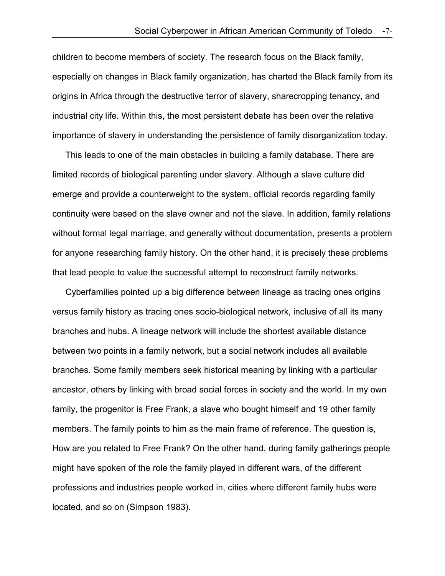children to become members of society. The research focus on the Black family, especially on changes in Black family organization, has charted the Black family from its origins in Africa through the destructive terror of slavery, sharecropping tenancy, and industrial city life. Within this, the most persistent debate has been over the relative importance of slavery in understanding the persistence of family disorganization today.

This leads to one of the main obstacles in building a family database. There are limited records of biological parenting under slavery. Although a slave culture did emerge and provide a counterweight to the system, official records regarding family continuity were based on the slave owner and not the slave. In addition, family relations without formal legal marriage, and generally without documentation, presents a problem for anyone researching family history. On the other hand, it is precisely these problems that lead people to value the successful attempt to reconstruct family networks.

Cyberfamilies pointed up a big difference between lineage as tracing ones origins versus family history as tracing ones socio-biological network, inclusive of all its many branches and hubs. A lineage network will include the shortest available distance between two points in a family network, but a social network includes all available branches. Some family members seek historical meaning by linking with a particular ancestor, others by linking with broad social forces in society and the world. In my own family, the progenitor is Free Frank, a slave who bought himself and 19 other family members. The family points to him as the main frame of reference. The question is, How are you related to Free Frank? On the other hand, during family gatherings people might have spoken of the role the family played in different wars, of the different professions and industries people worked in, cities where different family hubs were located, and so on (Simpson 1983).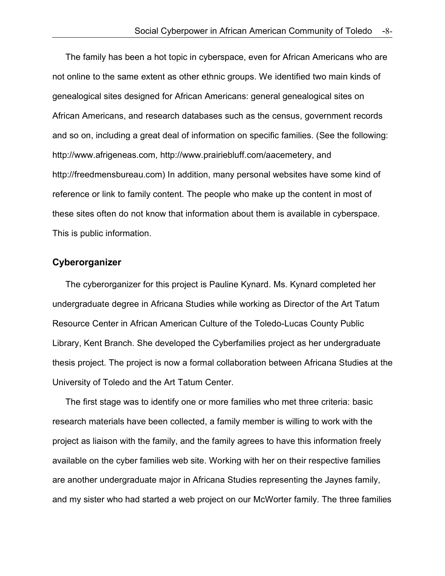The family has been a hot topic in cyberspace, even for African Americans who are not online to the same extent as other ethnic groups. We identified two main kinds of genealogical sites designed for African Americans: general genealogical sites on African Americans, and research databases such as the census, government records and so on, including a great deal of information on specific families. (See the following: http://www.afrigeneas.com, http://www.prairiebluff.com/aacemetery, and http://freedmensbureau.com) In addition, many personal websites have some kind of reference or link to family content. The people who make up the content in most of these sites often do not know that information about them is available in cyberspace. This is public information.

#### **Cyberorganizer**

The cyberorganizer for this project is Pauline Kynard. Ms. Kynard completed her undergraduate degree in Africana Studies while working as Director of the Art Tatum Resource Center in African American Culture of the Toledo-Lucas County Public Library, Kent Branch. She developed the Cyberfamilies project as her undergraduate thesis project. The project is now a formal collaboration between Africana Studies at the University of Toledo and the Art Tatum Center.

The first stage was to identify one or more families who met three criteria: basic research materials have been collected, a family member is willing to work with the project as liaison with the family, and the family agrees to have this information freely available on the cyber families web site. Working with her on their respective families are another undergraduate major in Africana Studies representing the Jaynes family, and my sister who had started a web project on our McWorter family. The three families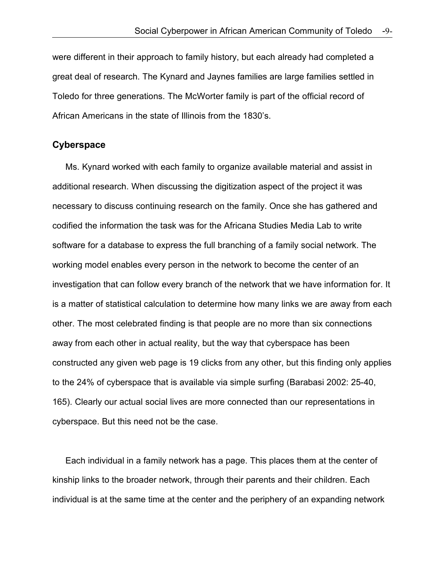were different in their approach to family history, but each already had completed a great deal of research. The Kynard and Jaynes families are large families settled in Toledo for three generations. The McWorter family is part of the official record of African Americans in the state of Illinois from the 1830's.

#### **Cyberspace**

Ms. Kynard worked with each family to organize available material and assist in additional research. When discussing the digitization aspect of the project it was necessary to discuss continuing research on the family. Once she has gathered and codified the information the task was for the Africana Studies Media Lab to write software for a database to express the full branching of a family social network. The working model enables every person in the network to become the center of an investigation that can follow every branch of the network that we have information for. It is a matter of statistical calculation to determine how many links we are away from each other. The most celebrated finding is that people are no more than six connections away from each other in actual reality, but the way that cyberspace has been constructed any given web page is 19 clicks from any other, but this finding only applies to the 24% of cyberspace that is available via simple surfing (Barabasi 2002: 25-40, 165). Clearly our actual social lives are more connected than our representations in cyberspace. But this need not be the case.

Each individual in a family network has a page. This places them at the center of kinship links to the broader network, through their parents and their children. Each individual is at the same time at the center and the periphery of an expanding network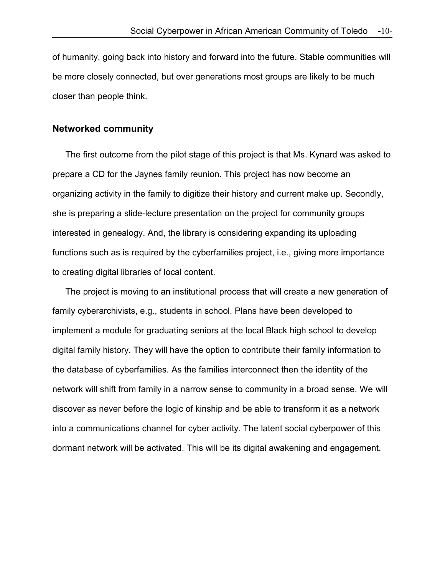of humanity, going back into history and forward into the future. Stable communities will be more closely connected, but over generations most groups are likely to be much closer than people think.

#### **Networked community**

The first outcome from the pilot stage of this project is that Ms. Kynard was asked to prepare a CD for the Jaynes family reunion. This project has now become an organizing activity in the family to digitize their history and current make up. Secondly, she is preparing a slide-lecture presentation on the project for community groups interested in genealogy. And, the library is considering expanding its uploading functions such as is required by the cyberfamilies project, i.e., giving more importance to creating digital libraries of local content.

The project is moving to an institutional process that will create a new generation of family cyberarchivists, e.g., students in school. Plans have been developed to implement a module for graduating seniors at the local Black high school to develop digital family history. They will have the option to contribute their family information to the database of cyberfamilies. As the families interconnect then the identity of the network will shift from family in a narrow sense to community in a broad sense. We will discover as never before the logic of kinship and be able to transform it as a network into a communications channel for cyber activity. The latent social cyberpower of this dormant network will be activated. This will be its digital awakening and engagement.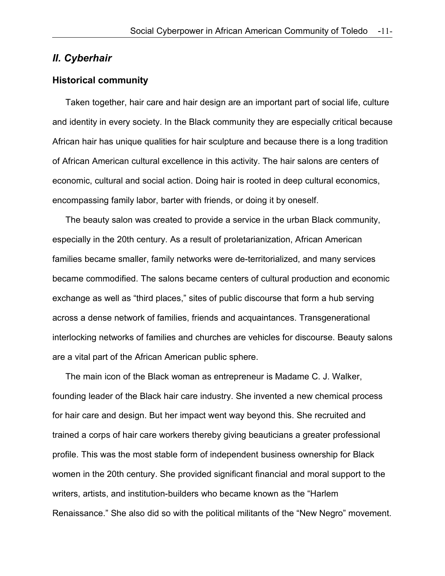### *II. Cyberhair*

#### **Historical community**

Taken together, hair care and hair design are an important part of social life, culture and identity in every society. In the Black community they are especially critical because African hair has unique qualities for hair sculpture and because there is a long tradition of African American cultural excellence in this activity. The hair salons are centers of economic, cultural and social action. Doing hair is rooted in deep cultural economics, encompassing family labor, barter with friends, or doing it by oneself.

The beauty salon was created to provide a service in the urban Black community, especially in the 20th century. As a result of proletarianization, African American families became smaller, family networks were de-territorialized, and many services became commodified. The salons became centers of cultural production and economic exchange as well as "third places," sites of public discourse that form a hub serving across a dense network of families, friends and acquaintances. Transgenerational interlocking networks of families and churches are vehicles for discourse. Beauty salons are a vital part of the African American public sphere.

The main icon of the Black woman as entrepreneur is Madame C. J. Walker, founding leader of the Black hair care industry. She invented a new chemical process for hair care and design. But her impact went way beyond this. She recruited and trained a corps of hair care workers thereby giving beauticians a greater professional profile. This was the most stable form of independent business ownership for Black women in the 20th century. She provided significant financial and moral support to the writers, artists, and institution-builders who became known as the "Harlem Renaissance." She also did so with the political militants of the "New Negro" movement.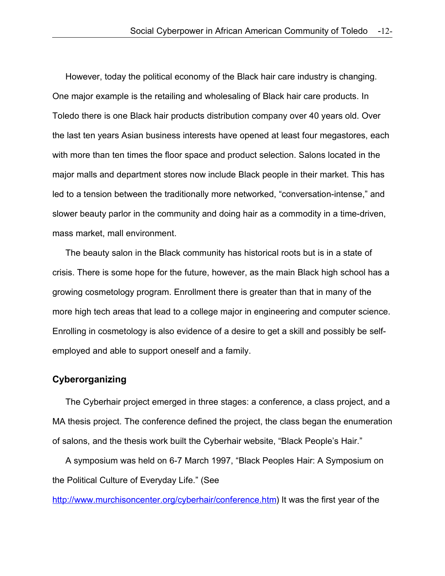However, today the political economy of the Black hair care industry is changing. One major example is the retailing and wholesaling of Black hair care products. In Toledo there is one Black hair products distribution company over 40 years old. Over the last ten years Asian business interests have opened at least four megastores, each with more than ten times the floor space and product selection. Salons located in the major malls and department stores now include Black people in their market. This has led to a tension between the traditionally more networked, "conversation-intense," and slower beauty parlor in the community and doing hair as a commodity in a time-driven, mass market, mall environment.

The beauty salon in the Black community has historical roots but is in a state of crisis. There is some hope for the future, however, as the main Black high school has a growing cosmetology program. Enrollment there is greater than that in many of the more high tech areas that lead to a college major in engineering and computer science. Enrolling in cosmetology is also evidence of a desire to get a skill and possibly be selfemployed and able to support oneself and a family.

#### **Cyberorganizing**

The Cyberhair project emerged in three stages: a conference, a class project, and a MA thesis project. The conference defined the project, the class began the enumeration of salons, and the thesis work built the Cyberhair website, "Black People's Hair."

A symposium was held on 6-7 March 1997, "Black Peoples Hair: A Symposium on the Political Culture of Everyday Life." (See

http://www.murchisoncenter.org/cyberhair/conference.htm) It was the first year of the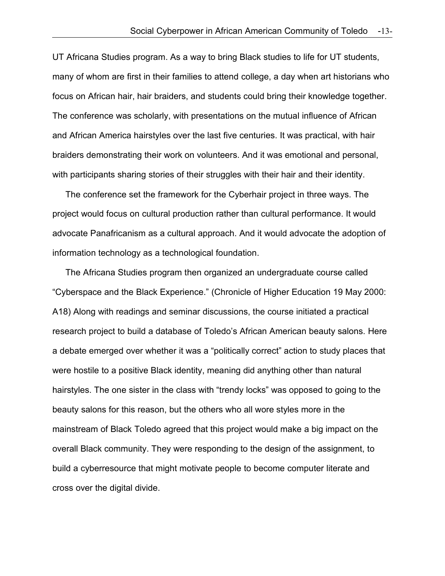UT Africana Studies program. As a way to bring Black studies to life for UT students, many of whom are first in their families to attend college, a day when art historians who focus on African hair, hair braiders, and students could bring their knowledge together. The conference was scholarly, with presentations on the mutual influence of African and African America hairstyles over the last five centuries. It was practical, with hair braiders demonstrating their work on volunteers. And it was emotional and personal, with participants sharing stories of their struggles with their hair and their identity.

The conference set the framework for the Cyberhair project in three ways. The project would focus on cultural production rather than cultural performance. It would advocate Panafricanism as a cultural approach. And it would advocate the adoption of information technology as a technological foundation.

The Africana Studies program then organized an undergraduate course called "Cyberspace and the Black Experience." (Chronicle of Higher Education 19 May 2000: A18) Along with readings and seminar discussions, the course initiated a practical research project to build a database of Toledo's African American beauty salons. Here a debate emerged over whether it was a "politically correct" action to study places that were hostile to a positive Black identity, meaning did anything other than natural hairstyles. The one sister in the class with "trendy locks" was opposed to going to the beauty salons for this reason, but the others who all wore styles more in the mainstream of Black Toledo agreed that this project would make a big impact on the overall Black community. They were responding to the design of the assignment, to build a cyberresource that might motivate people to become computer literate and cross over the digital divide.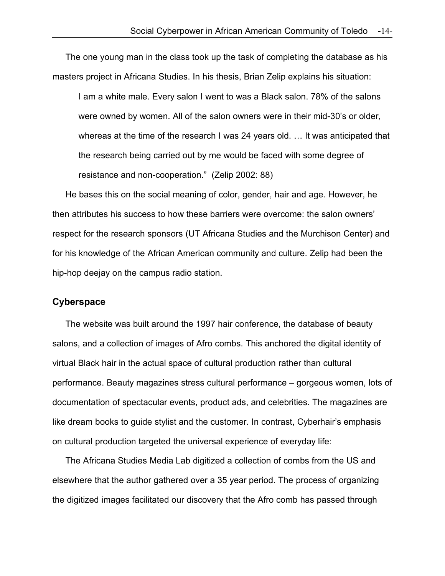The one young man in the class took up the task of completing the database as his masters project in Africana Studies. In his thesis, Brian Zelip explains his situation:

I am a white male. Every salon I went to was a Black salon. 78% of the salons were owned by women. All of the salon owners were in their mid-30's or older, whereas at the time of the research I was 24 years old. … It was anticipated that the research being carried out by me would be faced with some degree of resistance and non-cooperation." (Zelip 2002: 88)

He bases this on the social meaning of color, gender, hair and age. However, he then attributes his success to how these barriers were overcome: the salon owners' respect for the research sponsors (UT Africana Studies and the Murchison Center) and for his knowledge of the African American community and culture. Zelip had been the hip-hop deejay on the campus radio station.

#### **Cyberspace**

The website was built around the 1997 hair conference, the database of beauty salons, and a collection of images of Afro combs. This anchored the digital identity of virtual Black hair in the actual space of cultural production rather than cultural performance. Beauty magazines stress cultural performance – gorgeous women, lots of documentation of spectacular events, product ads, and celebrities. The magazines are like dream books to guide stylist and the customer. In contrast, Cyberhair's emphasis on cultural production targeted the universal experience of everyday life:

The Africana Studies Media Lab digitized a collection of combs from the US and elsewhere that the author gathered over a 35 year period. The process of organizing the digitized images facilitated our discovery that the Afro comb has passed through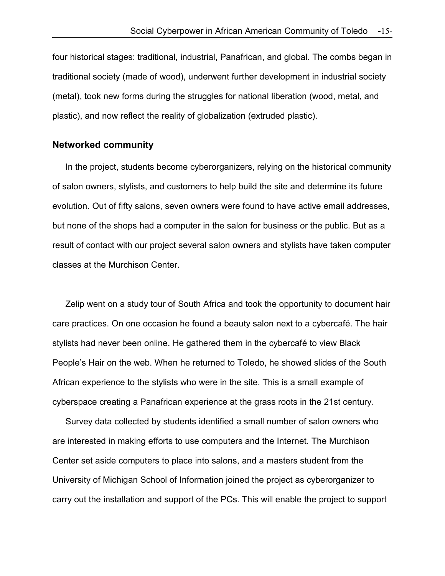four historical stages: traditional, industrial, Panafrican, and global. The combs began in traditional society (made of wood), underwent further development in industrial society (metal), took new forms during the struggles for national liberation (wood, metal, and plastic), and now reflect the reality of globalization (extruded plastic).

#### **Networked community**

In the project, students become cyberorganizers, relying on the historical community of salon owners, stylists, and customers to help build the site and determine its future evolution. Out of fifty salons, seven owners were found to have active email addresses, but none of the shops had a computer in the salon for business or the public. But as a result of contact with our project several salon owners and stylists have taken computer classes at the Murchison Center.

Zelip went on a study tour of South Africa and took the opportunity to document hair care practices. On one occasion he found a beauty salon next to a cybercafé. The hair stylists had never been online. He gathered them in the cybercafé to view Black People's Hair on the web. When he returned to Toledo, he showed slides of the South African experience to the stylists who were in the site. This is a small example of cyberspace creating a Panafrican experience at the grass roots in the 21st century.

Survey data collected by students identified a small number of salon owners who are interested in making efforts to use computers and the Internet. The Murchison Center set aside computers to place into salons, and a masters student from the University of Michigan School of Information joined the project as cyberorganizer to carry out the installation and support of the PCs. This will enable the project to support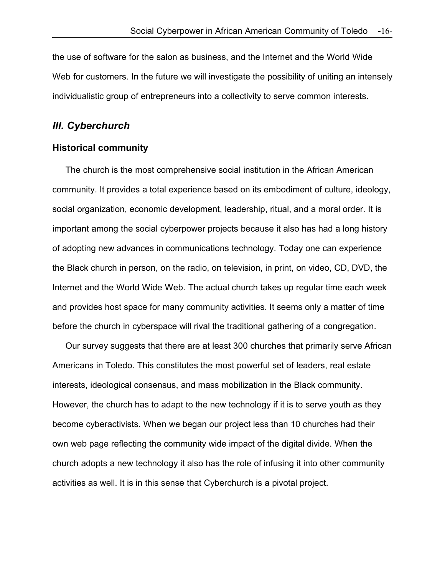the use of software for the salon as business, and the Internet and the World Wide Web for customers. In the future we will investigate the possibility of uniting an intensely individualistic group of entrepreneurs into a collectivity to serve common interests.

### *III. Cyberchurch*

#### **Historical community**

The church is the most comprehensive social institution in the African American community. It provides a total experience based on its embodiment of culture, ideology, social organization, economic development, leadership, ritual, and a moral order. It is important among the social cyberpower projects because it also has had a long history of adopting new advances in communications technology. Today one can experience the Black church in person, on the radio, on television, in print, on video, CD, DVD, the Internet and the World Wide Web. The actual church takes up regular time each week and provides host space for many community activities. It seems only a matter of time before the church in cyberspace will rival the traditional gathering of a congregation.

Our survey suggests that there are at least 300 churches that primarily serve African Americans in Toledo. This constitutes the most powerful set of leaders, real estate interests, ideological consensus, and mass mobilization in the Black community. However, the church has to adapt to the new technology if it is to serve youth as they become cyberactivists. When we began our project less than 10 churches had their own web page reflecting the community wide impact of the digital divide. When the church adopts a new technology it also has the role of infusing it into other community activities as well. It is in this sense that Cyberchurch is a pivotal project.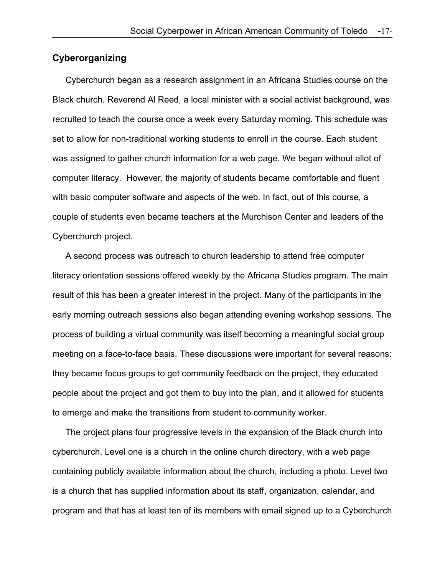### **Cyberorganizing**

Cyberchurch began as a research assignment in an Africana Studies course on the Black church. Reverend Al Reed, a local minister with a social activist background, was recruited to teach the course once a week every Saturday morning. This schedule was set to allow for non-traditional working students to enroll in the course. Each student was assigned to gather church information for a web page. We began without allot of computer literacy. However, the majority of students became comfortable and fluent with basic computer software and aspects of the web. In fact, out of this course, a couple of students even became teachers at the Murchison Center and leaders of the Cyberchurch project.

A second process was outreach to church leadership to attend free computer literacy orientation sessions offered weekly by the Africana Studies program. The main result of this has been a greater interest in the project. Many of the participants in the early morning outreach sessions also began attending evening workshop sessions. The process of building a virtual community was itself becoming a meaningful social group meeting on a face-to-face basis. These discussions were important for several reasons: they became focus groups to get community feedback on the project, they educated people about the project and got them to buy into the plan, and it allowed for students to emerge and make the transitions from student to community worker.

The project plans four progressive levels in the expansion of the Black church into cyberchurch. Level one is a church in the online church directory, with a web page containing publicly available information about the church, including a photo. Level two is a church that has supplied information about its staff, organization, calendar, and program and that has at least ten of its members with email signed up to a Cyberchurch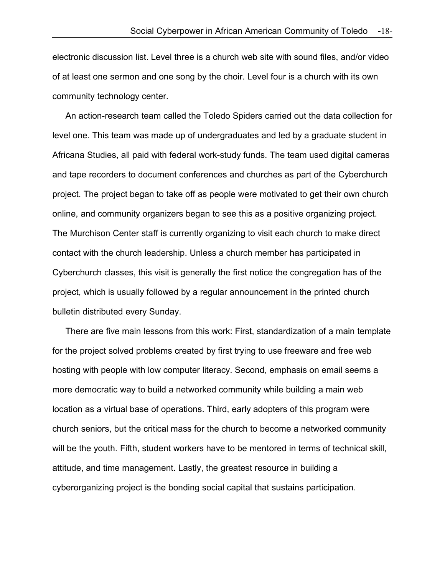electronic discussion list. Level three is a church web site with sound files, and/or video of at least one sermon and one song by the choir. Level four is a church with its own community technology center.

An action-research team called the Toledo Spiders carried out the data collection for level one. This team was made up of undergraduates and led by a graduate student in Africana Studies, all paid with federal work-study funds. The team used digital cameras and tape recorders to document conferences and churches as part of the Cyberchurch project. The project began to take off as people were motivated to get their own church online, and community organizers began to see this as a positive organizing project. The Murchison Center staff is currently organizing to visit each church to make direct contact with the church leadership. Unless a church member has participated in Cyberchurch classes, this visit is generally the first notice the congregation has of the project, which is usually followed by a regular announcement in the printed church bulletin distributed every Sunday.

There are five main lessons from this work: First, standardization of a main template for the project solved problems created by first trying to use freeware and free web hosting with people with low computer literacy. Second, emphasis on email seems a more democratic way to build a networked community while building a main web location as a virtual base of operations. Third, early adopters of this program were church seniors, but the critical mass for the church to become a networked community will be the youth. Fifth, student workers have to be mentored in terms of technical skill, attitude, and time management. Lastly, the greatest resource in building a cyberorganizing project is the bonding social capital that sustains participation.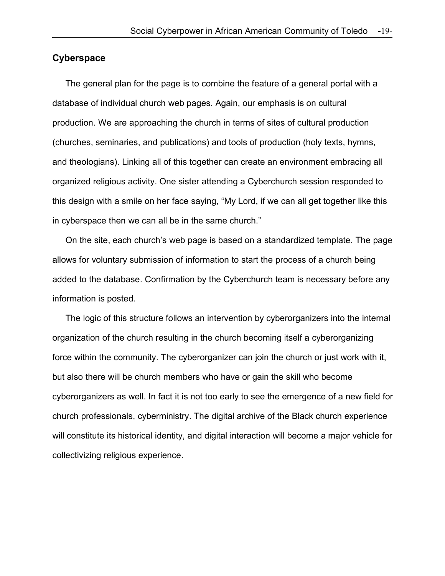### **Cyberspace**

The general plan for the page is to combine the feature of a general portal with a database of individual church web pages. Again, our emphasis is on cultural production. We are approaching the church in terms of sites of cultural production (churches, seminaries, and publications) and tools of production (holy texts, hymns, and theologians). Linking all of this together can create an environment embracing all organized religious activity. One sister attending a Cyberchurch session responded to this design with a smile on her face saying, "My Lord, if we can all get together like this in cyberspace then we can all be in the same church."

On the site, each church's web page is based on a standardized template. The page allows for voluntary submission of information to start the process of a church being added to the database. Confirmation by the Cyberchurch team is necessary before any information is posted.

The logic of this structure follows an intervention by cyberorganizers into the internal organization of the church resulting in the church becoming itself a cyberorganizing force within the community. The cyberorganizer can join the church or just work with it, but also there will be church members who have or gain the skill who become cyberorganizers as well. In fact it is not too early to see the emergence of a new field for church professionals, cyberministry. The digital archive of the Black church experience will constitute its historical identity, and digital interaction will become a major vehicle for collectivizing religious experience.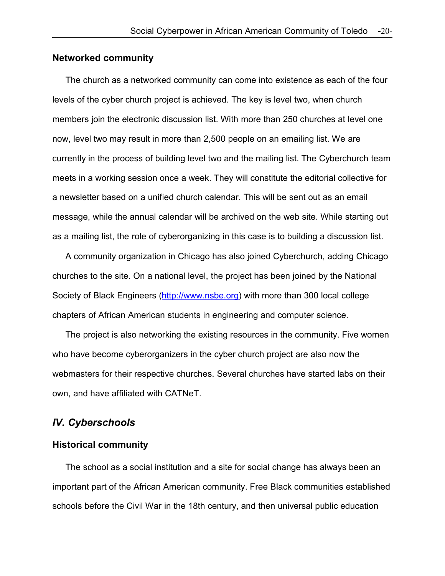### **Networked community**

The church as a networked community can come into existence as each of the four levels of the cyber church project is achieved. The key is level two, when church members join the electronic discussion list. With more than 250 churches at level one now, level two may result in more than 2,500 people on an emailing list. We are currently in the process of building level two and the mailing list. The Cyberchurch team meets in a working session once a week. They will constitute the editorial collective for a newsletter based on a unified church calendar. This will be sent out as an email message, while the annual calendar will be archived on the web site. While starting out as a mailing list, the role of cyberorganizing in this case is to building a discussion list.

A community organization in Chicago has also joined Cyberchurch, adding Chicago churches to the site. On a national level, the project has been joined by the National Society of Black Engineers (http://www.nsbe.org) with more than 300 local college chapters of African American students in engineering and computer science.

The project is also networking the existing resources in the community. Five women who have become cyberorganizers in the cyber church project are also now the webmasters for their respective churches. Several churches have started labs on their own, and have affiliated with CATNeT.

### *IV. Cyberschools*

#### **Historical community**

The school as a social institution and a site for social change has always been an important part of the African American community. Free Black communities established schools before the Civil War in the 18th century, and then universal public education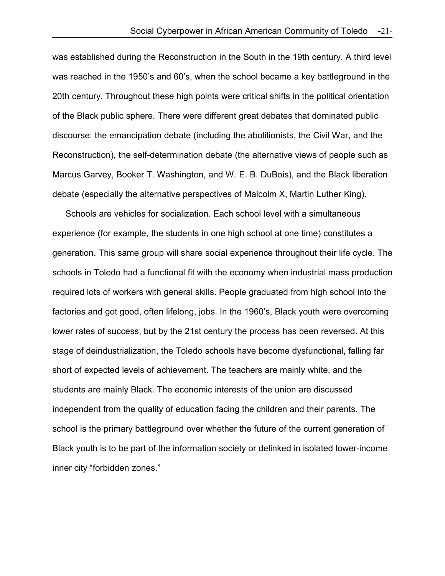was established during the Reconstruction in the South in the 19th century. A third level was reached in the 1950's and 60's, when the school became a key battleground in the 20th century. Throughout these high points were critical shifts in the political orientation of the Black public sphere. There were different great debates that dominated public discourse: the emancipation debate (including the abolitionists, the Civil War, and the Reconstruction), the self-determination debate (the alternative views of people such as Marcus Garvey, Booker T. Washington, and W. E. B. DuBois), and the Black liberation debate (especially the alternative perspectives of Malcolm X, Martin Luther King).

Schools are vehicles for socialization. Each school level with a simultaneous experience (for example, the students in one high school at one time) constitutes a generation. This same group will share social experience throughout their life cycle. The schools in Toledo had a functional fit with the economy when industrial mass production required lots of workers with general skills. People graduated from high school into the factories and got good, often lifelong, jobs. In the 1960's, Black youth were overcoming lower rates of success, but by the 21st century the process has been reversed. At this stage of deindustrialization, the Toledo schools have become dysfunctional, falling far short of expected levels of achievement. The teachers are mainly white, and the students are mainly Black. The economic interests of the union are discussed independent from the quality of education facing the children and their parents. The school is the primary battleground over whether the future of the current generation of Black youth is to be part of the information society or delinked in isolated lower-income inner city "forbidden zones."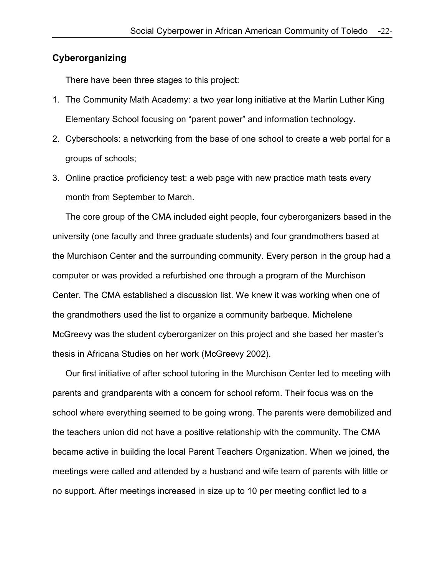### **Cyberorganizing**

There have been three stages to this project:

- 1. The Community Math Academy: a two year long initiative at the Martin Luther King Elementary School focusing on "parent power" and information technology.
- 2. Cyberschools: a networking from the base of one school to create a web portal for a groups of schools;
- 3. Online practice proficiency test: a web page with new practice math tests every month from September to March.

The core group of the CMA included eight people, four cyberorganizers based in the university (one faculty and three graduate students) and four grandmothers based at the Murchison Center and the surrounding community. Every person in the group had a computer or was provided a refurbished one through a program of the Murchison Center. The CMA established a discussion list. We knew it was working when one of the grandmothers used the list to organize a community barbeque. Michelene McGreevy was the student cyberorganizer on this project and she based her master's thesis in Africana Studies on her work (McGreevy 2002).

Our first initiative of after school tutoring in the Murchison Center led to meeting with parents and grandparents with a concern for school reform. Their focus was on the school where everything seemed to be going wrong. The parents were demobilized and the teachers union did not have a positive relationship with the community. The CMA became active in building the local Parent Teachers Organization. When we joined, the meetings were called and attended by a husband and wife team of parents with little or no support. After meetings increased in size up to 10 per meeting conflict led to a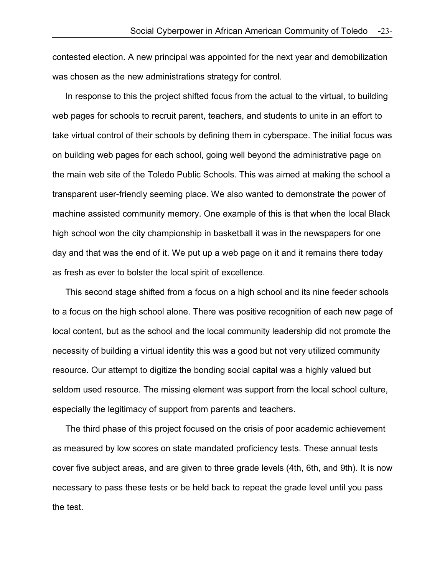contested election. A new principal was appointed for the next year and demobilization was chosen as the new administrations strategy for control.

In response to this the project shifted focus from the actual to the virtual, to building web pages for schools to recruit parent, teachers, and students to unite in an effort to take virtual control of their schools by defining them in cyberspace. The initial focus was on building web pages for each school, going well beyond the administrative page on the main web site of the Toledo Public Schools. This was aimed at making the school a transparent user-friendly seeming place. We also wanted to demonstrate the power of machine assisted community memory. One example of this is that when the local Black high school won the city championship in basketball it was in the newspapers for one day and that was the end of it. We put up a web page on it and it remains there today as fresh as ever to bolster the local spirit of excellence.

This second stage shifted from a focus on a high school and its nine feeder schools to a focus on the high school alone. There was positive recognition of each new page of local content, but as the school and the local community leadership did not promote the necessity of building a virtual identity this was a good but not very utilized community resource. Our attempt to digitize the bonding social capital was a highly valued but seldom used resource. The missing element was support from the local school culture, especially the legitimacy of support from parents and teachers.

The third phase of this project focused on the crisis of poor academic achievement as measured by low scores on state mandated proficiency tests. These annual tests cover five subject areas, and are given to three grade levels (4th, 6th, and 9th). It is now necessary to pass these tests or be held back to repeat the grade level until you pass the test.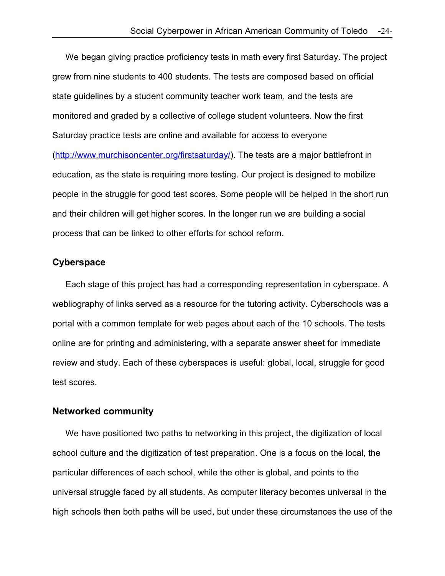We began giving practice proficiency tests in math every first Saturday. The project grew from nine students to 400 students. The tests are composed based on official state guidelines by a student community teacher work team, and the tests are monitored and graded by a collective of college student volunteers. Now the first Saturday practice tests are online and available for access to everyone (http://www.murchisoncenter.org/firstsaturday/). The tests are a major battlefront in education, as the state is requiring more testing. Our project is designed to mobilize people in the struggle for good test scores. Some people will be helped in the short run and their children will get higher scores. In the longer run we are building a social process that can be linked to other efforts for school reform.

#### **Cyberspace**

Each stage of this project has had a corresponding representation in cyberspace. A webliography of links served as a resource for the tutoring activity. Cyberschools was a portal with a common template for web pages about each of the 10 schools. The tests online are for printing and administering, with a separate answer sheet for immediate review and study. Each of these cyberspaces is useful: global, local, struggle for good test scores.

#### **Networked community**

We have positioned two paths to networking in this project, the digitization of local school culture and the digitization of test preparation. One is a focus on the local, the particular differences of each school, while the other is global, and points to the universal struggle faced by all students. As computer literacy becomes universal in the high schools then both paths will be used, but under these circumstances the use of the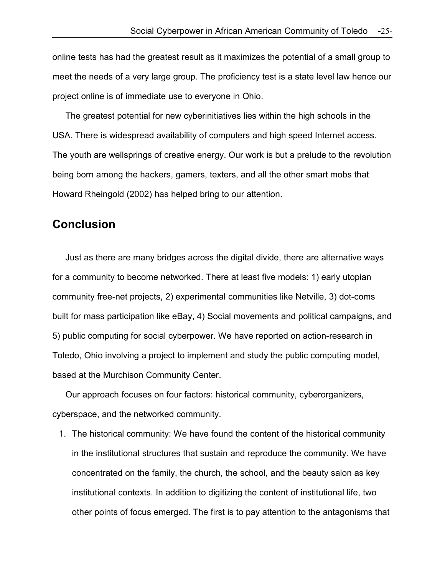online tests has had the greatest result as it maximizes the potential of a small group to meet the needs of a very large group. The proficiency test is a state level law hence our project online is of immediate use to everyone in Ohio.

The greatest potential for new cyberinitiatives lies within the high schools in the USA. There is widespread availability of computers and high speed Internet access. The youth are wellsprings of creative energy. Our work is but a prelude to the revolution being born among the hackers, gamers, texters, and all the other smart mobs that Howard Rheingold (2002) has helped bring to our attention.

# **Conclusion**

Just as there are many bridges across the digital divide, there are alternative ways for a community to become networked. There at least five models: 1) early utopian community free-net projects, 2) experimental communities like Netville, 3) dot-coms built for mass participation like eBay, 4) Social movements and political campaigns, and 5) public computing for social cyberpower. We have reported on action-research in Toledo, Ohio involving a project to implement and study the public computing model, based at the Murchison Community Center.

Our approach focuses on four factors: historical community, cyberorganizers, cyberspace, and the networked community.

1. The historical community: We have found the content of the historical community in the institutional structures that sustain and reproduce the community. We have concentrated on the family, the church, the school, and the beauty salon as key institutional contexts. In addition to digitizing the content of institutional life, two other points of focus emerged. The first is to pay attention to the antagonisms that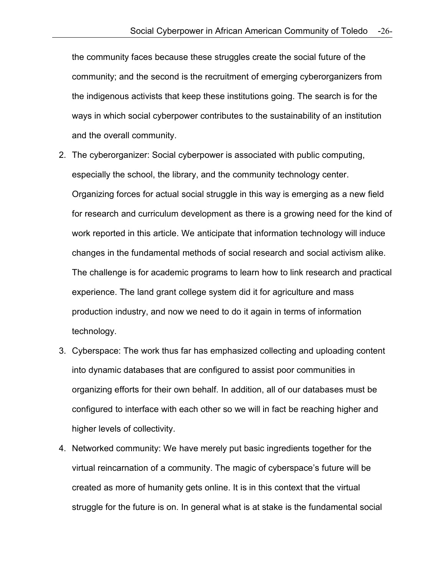the community faces because these struggles create the social future of the community; and the second is the recruitment of emerging cyberorganizers from the indigenous activists that keep these institutions going. The search is for the ways in which social cyberpower contributes to the sustainability of an institution and the overall community.

- 2. The cyberorganizer: Social cyberpower is associated with public computing, especially the school, the library, and the community technology center. Organizing forces for actual social struggle in this way is emerging as a new field for research and curriculum development as there is a growing need for the kind of work reported in this article. We anticipate that information technology will induce changes in the fundamental methods of social research and social activism alike. The challenge is for academic programs to learn how to link research and practical experience. The land grant college system did it for agriculture and mass production industry, and now we need to do it again in terms of information technology.
- 3. Cyberspace: The work thus far has emphasized collecting and uploading content into dynamic databases that are configured to assist poor communities in organizing efforts for their own behalf. In addition, all of our databases must be configured to interface with each other so we will in fact be reaching higher and higher levels of collectivity.
- 4. Networked community: We have merely put basic ingredients together for the virtual reincarnation of a community. The magic of cyberspace's future will be created as more of humanity gets online. It is in this context that the virtual struggle for the future is on. In general what is at stake is the fundamental social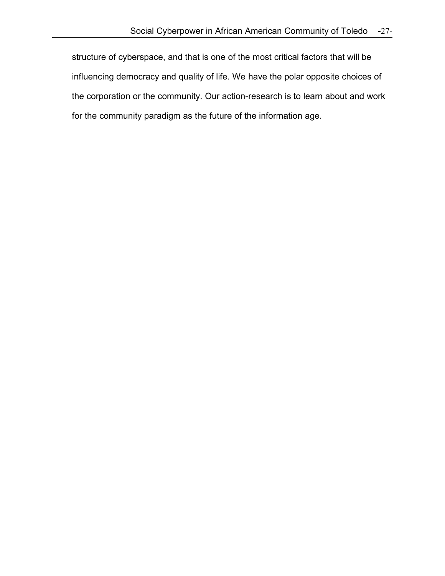structure of cyberspace, and that is one of the most critical factors that will be influencing democracy and quality of life. We have the polar opposite choices of the corporation or the community. Our action-research is to learn about and work for the community paradigm as the future of the information age.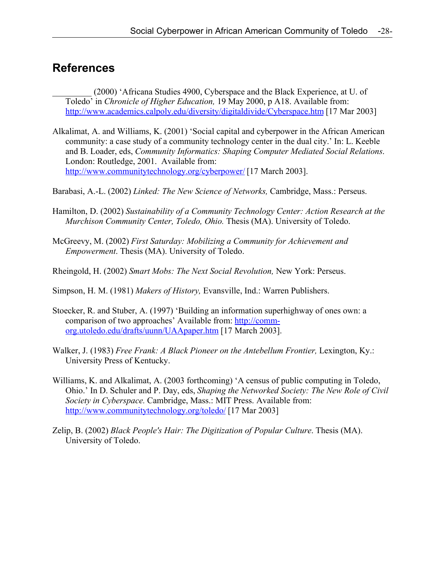# **References**

- \_\_\_\_\_\_\_\_\_ (2000) 'Africana Studies 4900, Cyberspace and the Black Experience, at U. of Toledo' in *Chronicle of Higher Education,* 19 May 2000, p A18. Available from: http://www.academics.calpoly.edu/diversity/digitaldivide/Cyberspace.htm [17 Mar 2003]
- Alkalimat, A. and Williams, K. (2001) 'Social capital and cyberpower in the African American community: a case study of a community technology center in the dual city.' In: L. Keeble and B. Loader, eds, *Community Informatics: Shaping Computer Mediated Social Relations*. London: Routledge, 2001. Available from: http://www.communitytechnology.org/cyberpower/ [17 March 2003].
- Barabasi, A.-L. (2002) *Linked: The New Science of Networks,* Cambridge, Mass.: Perseus.
- Hamilton, D. (2002) *Sustainability of a Community Technology Center: Action Research at the Murchison Community Center, Toledo, Ohio.* Thesis (MA). University of Toledo.
- McGreevy, M. (2002) *First Saturday: Mobilizing a Community for Achievement and Empowerment*. Thesis (MA). University of Toledo.
- Rheingold, H. (2002) *Smart Mobs: The Next Social Revolution,* New York: Perseus.
- Simpson, H. M. (1981) *Makers of History,* Evansville, Ind.: Warren Publishers.
- Stoecker, R. and Stuber, A. (1997) 'Building an information superhighway of ones own: a comparison of two approaches' Available from: http://commorg.utoledo.edu/drafts/uunn/UAApaper.htm [17 March 2003].
- Walker, J. (1983) *Free Frank: A Black Pioneer on the Antebellum Frontier,* Lexington, Ky.: University Press of Kentucky.
- Williams, K. and Alkalimat, A. (2003 forthcoming) 'A census of public computing in Toledo, Ohio.' In D. Schuler and P. Day, eds, *Shaping the Networked Society: The New Role of Civil Society in Cyberspace.* Cambridge, Mass.: MIT Press. Available from: http://www.communitytechnology.org/toledo/ [17 Mar 2003]
- Zelip, B. (2002) *Black People's Hair: The Digitization of Popular Culture*. Thesis (MA). University of Toledo.